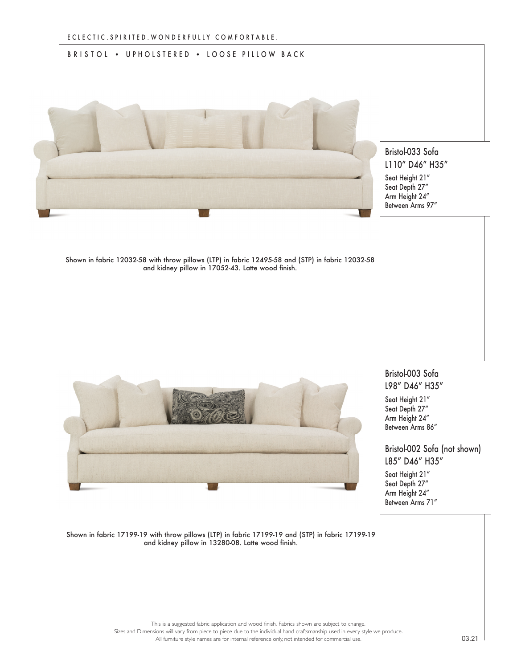## BRISTOL • UPHOLSTERED • LOOSE PILLOW BACK



## Bristol-033 Sofa L110" D46" H35"

Seat Height 21" Seat Depth 27" Arm Height 24" Between Arms 97"

Shown in fabric 12032-58 with throw pillows (LTP) in fabric 12495-58 and (STP) in fabric 12032-58 and kidney pillow in 17052-43. Latte wood finish.



## Bristol-003 Sofa L98" D46" H35"

Seat Height 21" Seat Depth 27" Arm Height 24" Between Arms 86"

## Bristol-002 Sofa (not shown) L85" D46" H35"

Seat Height 21" Seat Depth 27" Arm Height 24" Between Arms 71"

Shown in fabric 17199-19 with throw pillows (LTP) in fabric 17199-19 and (STP) in fabric 17199-19 and kidney pillow in 13280-08. Latte wood finish.